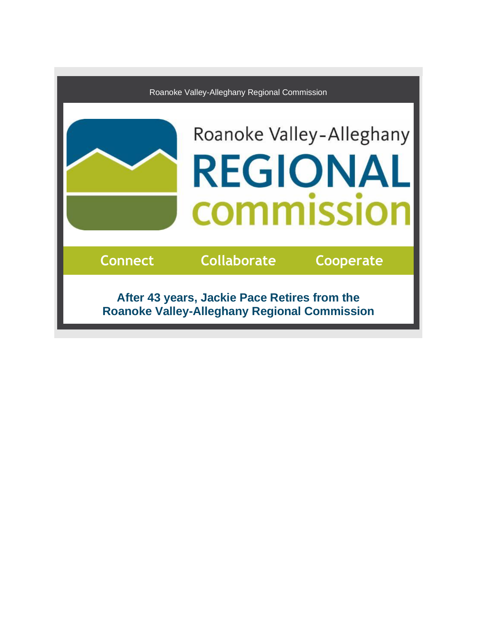

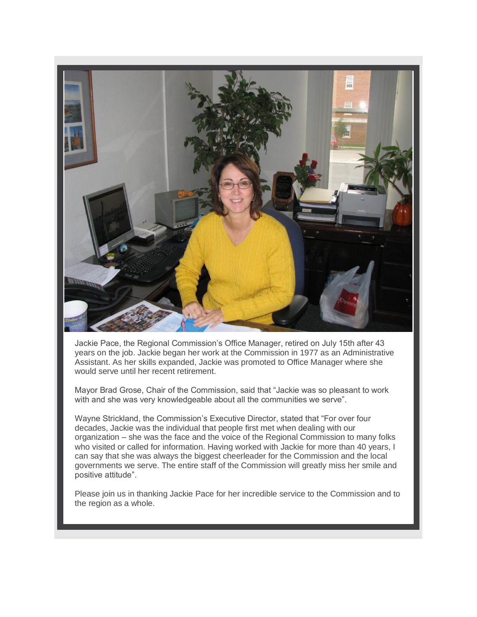

Jackie Pace, the Regional Commission's Office Manager, retired on July 15th after 43 years on the job. Jackie began her work at the Commission in 1977 as an Administrative Assistant. As her skills expanded, Jackie was promoted to Office Manager where she would serve until her recent retirement.

Mayor Brad Grose, Chair of the Commission, said that "Jackie was so pleasant to work with and she was very knowledgeable about all the communities we serve".

Wayne Strickland, the Commission's Executive Director, stated that "For over four decades, Jackie was the individual that people first met when dealing with our organization – she was the face and the voice of the Regional Commission to many folks who visited or called for information. Having worked with Jackie for more than 40 years, I can say that she was always the biggest cheerleader for the Commission and the local governments we serve. The entire staff of the Commission will greatly miss her smile and positive attitude".

Please join us in thanking Jackie Pace for her incredible service to the Commission and to the region as a whole.